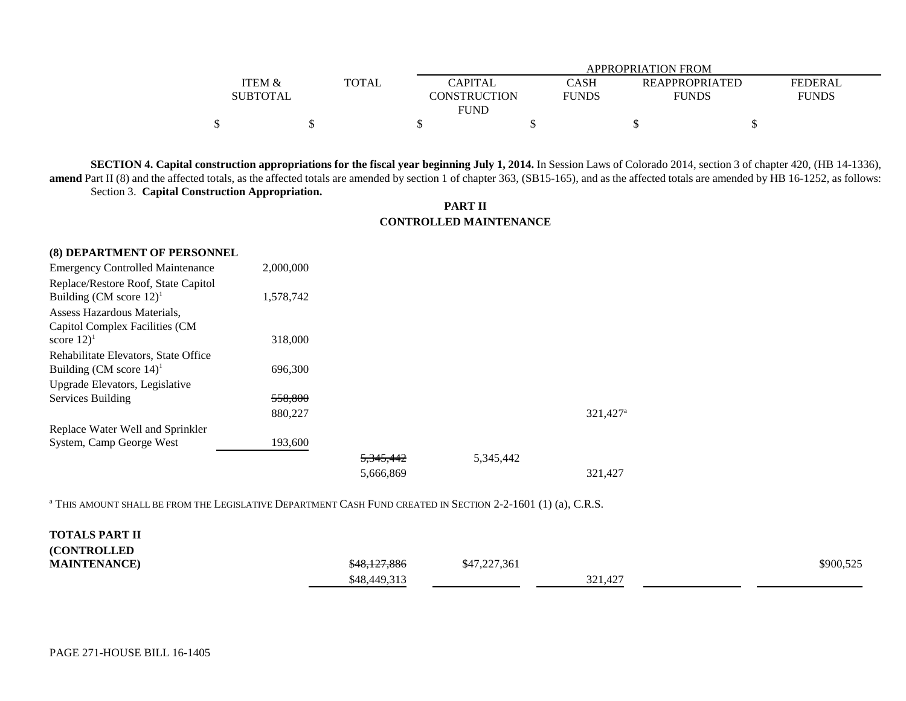|                 |              |  | APPROPRIATION FROM |             |                       |                |  |
|-----------------|--------------|--|--------------------|-------------|-----------------------|----------------|--|
| ITEM &          | <b>TOTAL</b> |  | <b>CAPITAL</b>     | <b>CASH</b> | <b>REAPPROPRIATED</b> | <b>FEDERAL</b> |  |
| <b>SUBTOTAL</b> |              |  | CONSTRUCTION       | FUNDS       | <b>FUNDS</b>          | FUNDS          |  |
| <b>FUND</b>     |              |  |                    |             |                       |                |  |
|                 |              |  |                    |             |                       |                |  |

**SECTION 4. Capital construction appropriations for the fiscal year beginning July 1, 2014.** In Session Laws of Colorado 2014, section 3 of chapter 420, (HB 14-1336), **amend** Part II (8) and the affected totals, as the affected totals are amended by section 1 of chapter 363, (SB15-165), and as the affected totals are amended by HB 16-1252, as follows: Section 3. **Capital Construction Appropriation.**

## **PART II CONTROLLED MAINTENANCE**

| (8) DEPARTMENT OF PERSONNEL             |           |                      |           |                      |
|-----------------------------------------|-----------|----------------------|-----------|----------------------|
| <b>Emergency Controlled Maintenance</b> | 2,000,000 |                      |           |                      |
| Replace/Restore Roof, State Capitol     |           |                      |           |                      |
| Building (CM score $12$ ) <sup>1</sup>  | 1,578,742 |                      |           |                      |
| Assess Hazardous Materials,             |           |                      |           |                      |
| Capitol Complex Facilities (CM          |           |                      |           |                      |
| score $12)^1$                           | 318,000   |                      |           |                      |
| Rehabilitate Elevators, State Office    |           |                      |           |                      |
| Building (CM score $14$ ) <sup>1</sup>  | 696,300   |                      |           |                      |
| Upgrade Elevators, Legislative          |           |                      |           |                      |
| Services Building                       | 558,800   |                      |           |                      |
|                                         | 880,227   |                      |           | 321,427 <sup>a</sup> |
| Replace Water Well and Sprinkler        |           |                      |           |                      |
| System, Camp George West                | 193,600   |                      |           |                      |
|                                         |           | <del>5.345.442</del> | 5,345,442 |                      |
|                                         |           | 5,666,869            |           | 321,427              |

<sup>a</sup> THIS AMOUNT SHALL BE FROM THE LEGISLATIVE DEPARTMENT CASH FUND CREATED IN SECTION 2-2-1601 (1) (a), C.R.S.

| <b>TOTALS PART II</b> |                         |              |         |           |
|-----------------------|-------------------------|--------------|---------|-----------|
| <b>(CONTROLLED)</b>   |                         |              |         |           |
| <b>MAINTENANCE</b>    | <del>\$48,127,886</del> | \$47,227,361 |         | \$900,525 |
|                       | \$48,449,313            |              | 321,427 |           |